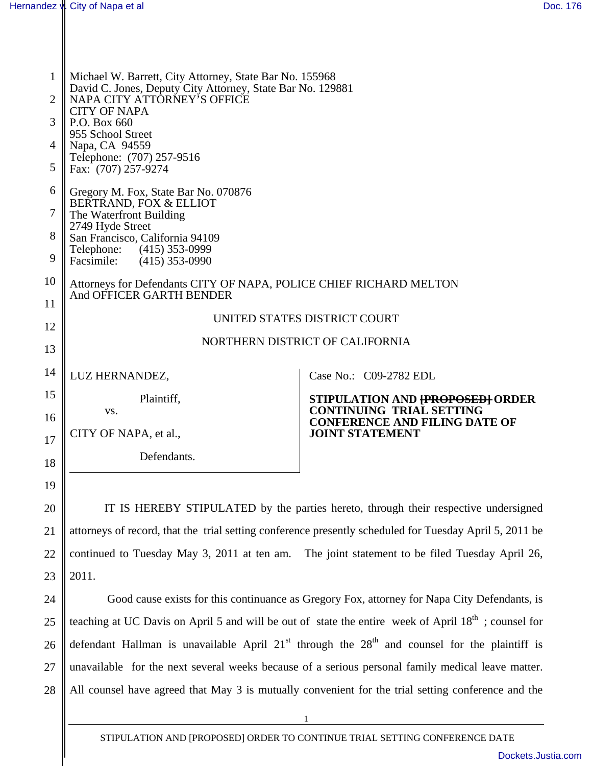20

21

22

23

| $\mathbf{1}$   | Michael W. Barrett, City Attorney, State Bar No. 155968            |                                                                |  |  |
|----------------|--------------------------------------------------------------------|----------------------------------------------------------------|--|--|
|                | David C. Jones, Deputy City Attorney, State Bar No. 129881         |                                                                |  |  |
| $\overline{2}$ | NAPA CITY ATTORNEY'S OFFICE<br><b>CITY OF NAPA</b>                 |                                                                |  |  |
| 3              | P.O. Box 660                                                       |                                                                |  |  |
|                | 955 School Street                                                  |                                                                |  |  |
| 4              | Napa, CA 94559<br>Telephone: (707) 257-9516                        |                                                                |  |  |
| 5              | Fax: (707) 257-9274                                                |                                                                |  |  |
| 6              | Gregory M. Fox, State Bar No. 070876                               |                                                                |  |  |
|                | BERTRAND, FOX & ELLIOT                                             |                                                                |  |  |
| 7              | The Waterfront Building                                            |                                                                |  |  |
| 8              | 2749 Hyde Street<br>San Francisco, California 94109                |                                                                |  |  |
|                | Telephone: (415) 353-0999                                          |                                                                |  |  |
| 9              | Facsimile: (415) 353-0990                                          |                                                                |  |  |
| 10             | Attorneys for Defendants CITY OF NAPA, POLICE CHIEF RICHARD MELTON |                                                                |  |  |
| 11             | And OFFICER GARTH BENDER                                           |                                                                |  |  |
|                |                                                                    | UNITED STATES DISTRICT COURT                                   |  |  |
| 12             |                                                                    |                                                                |  |  |
| 13             |                                                                    | NORTHERN DISTRICT OF CALIFORNIA                                |  |  |
|                |                                                                    |                                                                |  |  |
| 14             | LUZ HERNANDEZ,                                                     | Case No.: C09-2782 EDL                                         |  |  |
| 15             | Plaintiff,                                                         | STIPULATION AND <del>[PROPOSED]</del> ORDER                    |  |  |
| 16             | VS.                                                                | <b>CONTINUING TRIAL SETTING</b>                                |  |  |
|                | CITY OF NAPA, et al.,                                              | <b>CONFERENCE AND FILING DATE OF</b><br><b>JOINT STATEMENT</b> |  |  |
| 17             |                                                                    |                                                                |  |  |
| 18             | Defendants.                                                        |                                                                |  |  |
|                |                                                                    |                                                                |  |  |
| 19             |                                                                    |                                                                |  |  |

IT IS HEREBY STIPULATED by the parties hereto, through their respective undersigned attorneys of record, that the trial setting conference presently scheduled for Tuesday April 5, 2011 be continued to Tuesday May 3, 2011 at ten am. The joint statement to be filed Tuesday April 26, 2011.

24 25 26 27 28 Good cause exists for this continuance as Gregory Fox, attorney for Napa City Defendants, is teaching at UC Davis on April 5 and will be out of state the entire week of April 18<sup>th</sup>; counsel for defendant Hallman is unavailable April  $21<sup>st</sup>$  through the  $28<sup>th</sup>$  and counsel for the plaintiff is unavailable for the next several weeks because of a serious personal family medical leave matter. All counsel have agreed that May 3 is mutually convenient for the trial setting conference and the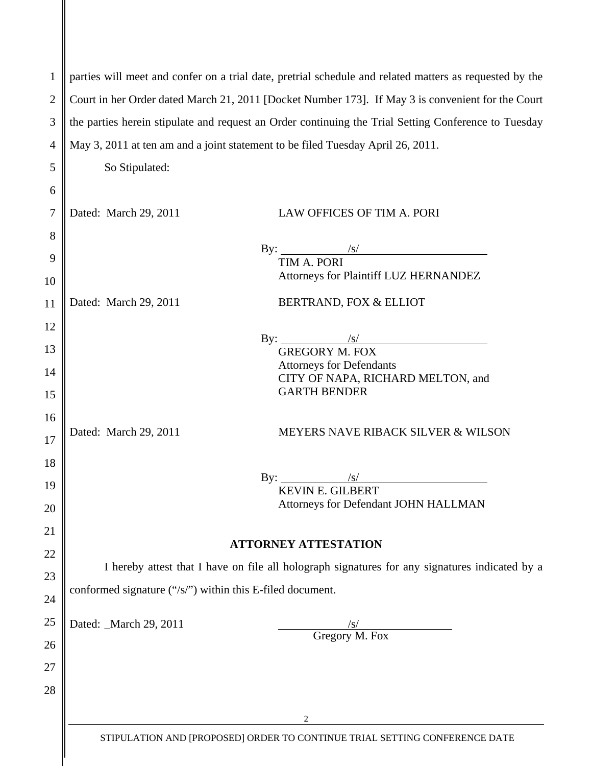| $\mathbf{1}$   |                                                                                                      | parties will meet and confer on a trial date, pretrial schedule and related matters as requested by the |  |
|----------------|------------------------------------------------------------------------------------------------------|---------------------------------------------------------------------------------------------------------|--|
| $\overline{2}$ | Court in her Order dated March 21, 2011 [Docket Number 173]. If May 3 is convenient for the Court    |                                                                                                         |  |
| 3              | the parties herein stipulate and request an Order continuing the Trial Setting Conference to Tuesday |                                                                                                         |  |
| $\overline{4}$ |                                                                                                      | May 3, 2011 at ten am and a joint statement to be filed Tuesday April 26, 2011.                         |  |
| 5              | So Stipulated:                                                                                       |                                                                                                         |  |
| 6              |                                                                                                      |                                                                                                         |  |
| 7              | Dated: March 29, 2011                                                                                | LAW OFFICES OF TIM A. PORI                                                                              |  |
| 8              |                                                                                                      |                                                                                                         |  |
| 9              |                                                                                                      | By: $\frac{1}{\sin A + \sin B}$                                                                         |  |
|                |                                                                                                      | TIM A. PORI                                                                                             |  |
| 10             |                                                                                                      | Attorneys for Plaintiff LUZ HERNANDEZ                                                                   |  |
| 11             | Dated: March 29, 2011                                                                                | BERTRAND, FOX & ELLIOT                                                                                  |  |
| 12             |                                                                                                      |                                                                                                         |  |
| 13             |                                                                                                      | By: $\frac{\sqrt{s}}{\text{GREGORY M. FOX}}$                                                            |  |
|                |                                                                                                      | <b>Attorneys for Defendants</b>                                                                         |  |
| 14             |                                                                                                      | CITY OF NAPA, RICHARD MELTON, and                                                                       |  |
| 15             |                                                                                                      | <b>GARTH BENDER</b>                                                                                     |  |
| 16             |                                                                                                      |                                                                                                         |  |
| 17             | Dated: March 29, 2011                                                                                | MEYERS NAVE RIBACK SILVER & WILSON                                                                      |  |
| 18             |                                                                                                      |                                                                                                         |  |
| 19             |                                                                                                      | By: $\qquad \qquad$<br>$\sqrt{s}$                                                                       |  |
|                |                                                                                                      | <b>KEVIN E. GILBERT</b>                                                                                 |  |
| 20             |                                                                                                      | Attorneys for Defendant JOHN HALLMAN                                                                    |  |
| 21             |                                                                                                      |                                                                                                         |  |
| 22             |                                                                                                      | <b>ATTORNEY ATTESTATION</b>                                                                             |  |
| 23             |                                                                                                      | I hereby attest that I have on file all holograph signatures for any signatures indicated by a          |  |
| 24             | conformed signature ("/s/") within this E-filed document.                                            |                                                                                                         |  |
| 25             | Dated: _March 29, 2011                                                                               | $\sqrt{s}$                                                                                              |  |
| 26             |                                                                                                      | Gregory M. Fox                                                                                          |  |
| 27             |                                                                                                      |                                                                                                         |  |
| 28             |                                                                                                      |                                                                                                         |  |
|                |                                                                                                      | 2                                                                                                       |  |
|                |                                                                                                      |                                                                                                         |  |
|                |                                                                                                      | STIPULATION AND [PROPOSED] ORDER TO CONTINUE TRIAL SETTING CONFERENCE DATE                              |  |